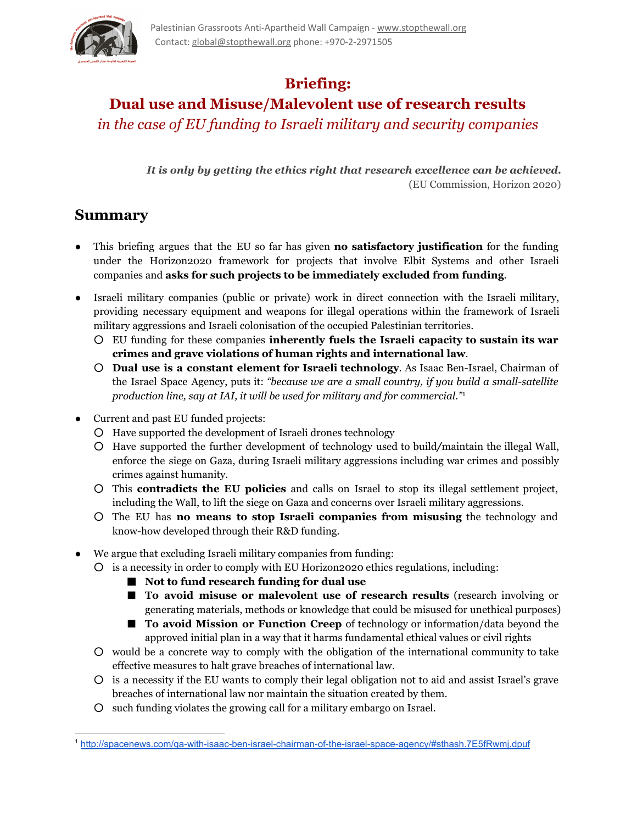

# **Briefing:**

# **Dual use and Misuse/Malevolent use of research results**

*in the case of EU funding to Israeli military and security companies*

*It is only by getting the ethics right that research excellence can be achieved.* (EU Commission, Horizon 2020)

## **Summary**

- This briefing argues that the EU so far has given **no satisfactory justification** for the funding under the Horizon2020 framework for projects that involve Elbit Systems and other Israeli companies and **asks for such projects to be immediately excluded from funding**.
- Israeli military companies (public or private) work in direct connection with the Israeli military, providing necessary equipment and weapons for illegal operations within the framework of Israeli military aggressions and Israeli colonisation of the occupied Palestinian territories.
	- EU funding for these companies **inherently fuels the Israeli capacity to sustain its war crimes and grave violations of human rights and international law**.
	- **Dual use is a constant element for Israeli technology**. As Isaac BenIsrael, Chairman of the Israel Space Agency, puts it: *"because we are a small country, if you build a smallsatellite production line, say at IAI, it will be used for military and for commercial."* 1
- Current and past EU funded projects:
	- Have supported the development of Israeli drones technology
	- Have supported the further development of technology used to build*/*maintain the illegal Wall, enforce the siege on Gaza, during Israeli military aggressions including war crimes and possibly crimes against humanity.
	- This **contradicts the EU policies** and calls on Israel to stop its illegal settlement project, including the Wall, to lift the siege on Gaza and concerns over Israeli military aggressions.
	- The EU has **no means to stop Israeli companies from misusing** the technology and know-how developed through their R&D funding.
- We argue that excluding Israeli military companies from funding:
	- is a necessity in order to comply with EU Horizon2020 ethics regulations, including:
		- **Not to fund research funding for dual use**
		- **To avoid misuse or malevolent use of research results** (research involving or generating materials, methods or knowledge that could be misused for unethical purposes)
		- **To avoid Mission or Function Creep** of technology or information/data beyond the approved initial plan in a way that it harms fundamental ethical values or civil rights
	- would be a concrete way to comply with the obligation of the international community to take effective measures to halt grave breaches of international law.
	- is a necessity if the EU wants to comply their legal obligation not to aid and assist Israel's grave breaches of international law nor maintain the situation created by them.
	- such funding violates the growing call for a military embargo on Israel.

<sup>&</sup>lt;sup>1</sup> http://spacenews.com/qa-with-isaac-ben-israel-chairman-of-the-israel-space-agency/#sthash.7E5fRwmj.dpuf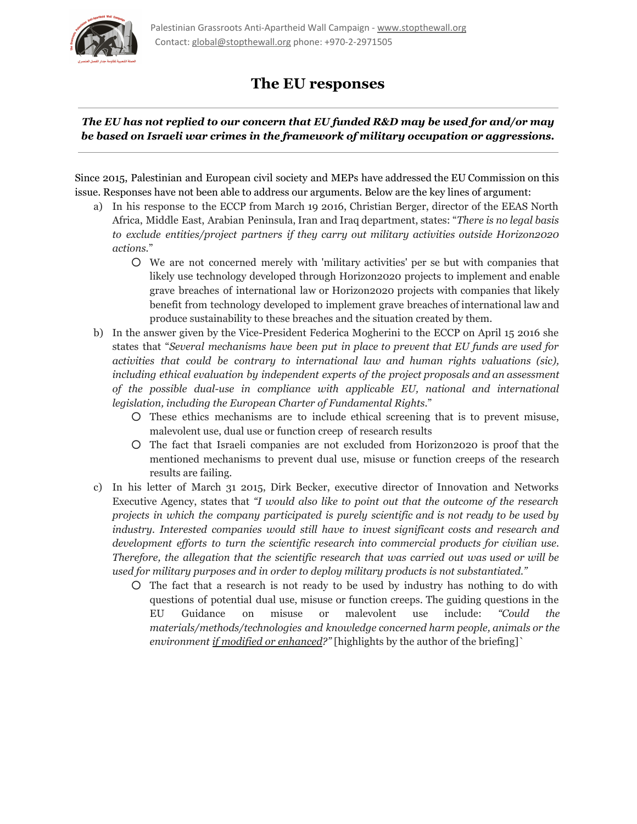

### **The EU responses**

### *The EU has not replied to our concern that EU funded R&D may be used for and/or may be based on Israeli war crimes in the framework of military occupation or aggressions.*

Since 2015, Palestinian and European civil society and MEPs have addressed the EU Commission on this issue. Responses have not been able to address our arguments. Below are the key lines of argument:

- a) In his response to the ECCP from March 19 2016, Christian Berger, director of the EEAS North Africa, Middle East, Arabian Peninsula, Iran and Iraq department, states: "*There is no legal basis to exclude entities/project partners if they carry out military activities outside Horizon2020 actions.*"
	- We are not concerned merely with 'military activities' per se but with companies that likely use technology developed through Horizon2020 projects to implement and enable grave breaches of international law or Horizon2020 projects with companies that likely benefit from technology developed to implement grave breaches of international law and produce sustainability to these breaches and the situation created by them.
- b) In the answer given by the Vice-President Federica Mogherini to the ECCP on April 15 2016 she states that "*Several mechanisms have been put in place to prevent that EU funds are used for activities that could be contrary to international law and human rights valuations (sic), including ethical evaluation by independent experts of the project proposals and an assessment of the possible dualuse in compliance with applicable EU, national and international legislation, including the European Charter of Fundamental Rights.*"
	- These ethics mechanisms are to include ethical screening that is to prevent misuse, malevolent use, dual use or function creep of research results
	- The fact that Israeli companies are not excluded from Horizon2020 is proof that the mentioned mechanisms to prevent dual use, misuse or function creeps of the research results are failing.
- c) In his letter of March 31 2015, Dirk Becker, executive director of Innovation and Networks Executive Agency, states that *"I would also like to point out that the outcome of the research projects in which the company participated is purely scientific and is not ready to be used by industry. Interested companies would still have to invest significant costs and research and development ef orts to turn the scientific research into commercial products for civilian use. Therefore, the allegation that the scientific research that was carried out was used or will be used for military purposes and in order to deploy military products is not substantiated."*
	- The fact that a research is not ready to be used by industry has nothing to do with questions of potential dual use, misuse or function creeps. The guiding questions in the EU Guidance on misuse or malevolent use include: *"Could the materials/methods/technologies and knowledge concerned harm people, animals or the environment if modified or enhanced?"* [highlights by the author of the briefing]`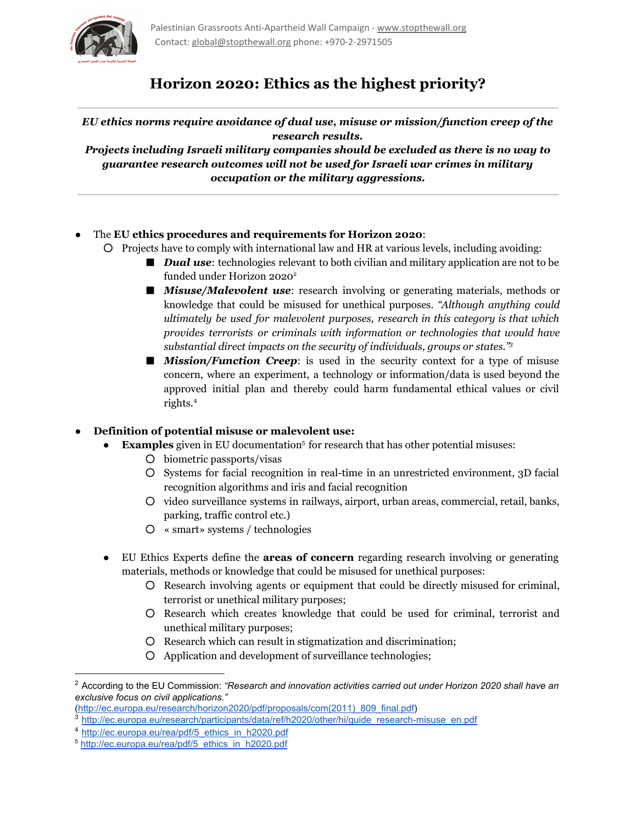

## **Horizon 2020: Ethics as the highest priority?**

#### *EU ethics norms require avoidance of dual use, misuse or mission/function creep of the research results.*

*Projects including Israeli military companies should be excluded as there is no way to guarantee research outcomes will not be used for Israeli war crimes in military occupation or the military aggressions.*

- The **EU ethics procedures and requirements for Horizon 2020**:
	- Projects have to comply with international law and HR at various levels, including avoiding:
		- *Dual use*: technologies relevant to both civilian and military application are not to be funded under Horizon 2020 2
		- *Misuse/Malevolent use*: research involving or generating materials, methods or knowledge that could be misused for unethical purposes. *"Although anything could ultimately be used for malevolent purposes, research in this category is that which provides terrorists or criminals with information or technologies that would have substantial direct impacts on the security of individuals, groups or states." 3*
		- *Mission/Function Creep*: is used in the security context for a type of misuse concern, where an experiment, a technology or information/data is used beyond the approved initial plan and thereby could harm fundamental ethical values or civil rights. 4

### ● **Definition of potential misuse or malevolent use:**

- **Examples** given in EU documentation<sup>5</sup> for research that has other potential misuses:
	- biometric passports/visas
	- Systems for facial recognition in realtime in an unrestricted environment, 3D facial recognition algorithms and iris and facial recognition
	- video surveillance systems in railways, airport, urban areas, commercial, retail, banks, parking, traffic control etc.)
	- « smart» systems / technologies
- EU Ethics Experts define the **areas of concern** regarding research involving or generating materials, methods or knowledge that could be misused for unethical purposes:
	- Research involving agents or equipment that could be directly misused for criminal, terrorist or unethical military purposes;
	- Research which creates knowledge that could be used for criminal, terrorist and unethical military purposes;
	- Research which can result in stigmatization and discrimination;
	- Application and development of surveillance technologies;

[\(http://ec.europa.eu/research/horizon2020/pdf/proposals/com\(2011\)\\_809\\_final.pdf](http://ec.europa.eu/research/horizon2020/pdf/proposals/com(2011)_809_final.pdf)) <sup>3</sup> http://ec.europa.eu/research/partici<u>pants/data/ref/h2020/other/hi/guide\_research-misuse\_en.pdf</u>

<sup>2</sup> According to the EU Commission: *"Research and innovation activities carried out under Horizon 2020 shall have an exclusive focus on civil applications."*

<sup>4</sup> [http://ec.europa.eu/rea/pdf/5\\_ethics\\_in\\_h2020.pdf](http://ec.europa.eu/rea/pdf/5_ethics_in_h2020.pdf)

<sup>5</sup> [http://ec.europa.eu/rea/pdf/5\\_ethics\\_in\\_h2020.pdf](http://ec.europa.eu/rea/pdf/5_ethics_in_h2020.pdf)